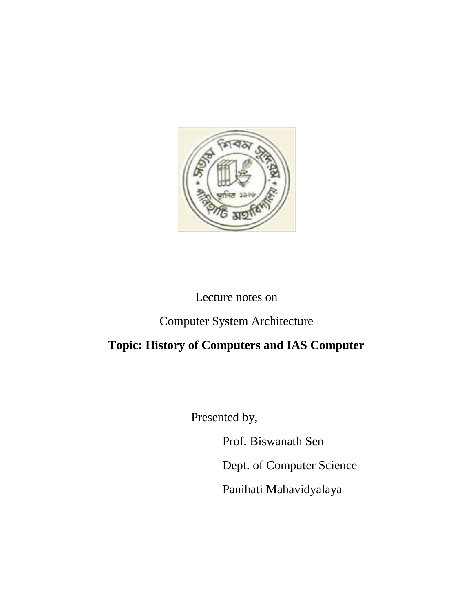

## Lecture notes on

# Computer System Architecture

# **Topic: History of Computers and IAS Computer**

Presented by,

Prof. Biswanath Sen

Dept. of Computer Science

Panihati Mahavidyalaya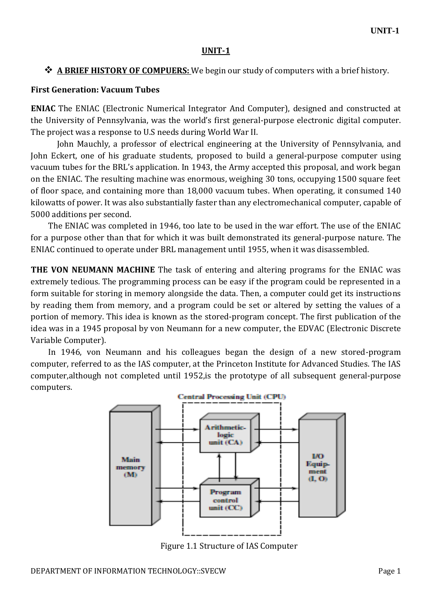#### **UNIT-1**

### **A BRIEF HISTORY OF COMPUERS:** We begin our study of computers with a brief history.

#### **First Generation: Vacuum Tubes**

**ENIAC** The ENIAC (Electronic Numerical Integrator And Computer), designed and constructed at the University of Pennsylvania, was the world's first general-purpose electronic digital computer. The project was a response to U.S needs during World War II.

John Mauchly, a professor of electrical engineering at the University of Pennsylvania, and John Eckert, one of his graduate students, proposed to build a general-purpose computer using vacuum tubes for the BRL's application. In 1943, the Army accepted this proposal, and work began on the ENIAC. The resulting machine was enormous, weighing 30 tons, occupying 1500 square feet of floor space, and containing more than 18,000 vacuum tubes. When operating, it consumed 140 kilowatts of power. It was also substantially faster than any electromechanical computer, capable of 5000 additions per second.

The ENIAC was completed in 1946, too late to be used in the war effort. The use of the ENIAC for a purpose other than that for which it was built demonstrated its general-purpose nature. The ENIAC continued to operate under BRL management until 1955, when it was disassembled.

**THE VON NEUMANN MACHINE** The task of entering and altering programs for the ENIAC was extremely tedious. The programming process can be easy if the program could be represented in a form suitable for storing in memory alongside the data. Then, a computer could get its instructions by reading them from memory, and a program could be set or altered by setting the values of a portion of memory. This idea is known as the stored-program concept. The first publication of the idea was in a 1945 proposal by von Neumann for a new computer, the EDVAC (Electronic Discrete Variable Computer).

In 1946, von Neumann and his colleagues began the design of a new stored-program computer, referred to as the IAS computer, at the Princeton Institute for Advanced Studies. The IAS computer,although not completed until 1952,is the prototype of all subsequent general-purpose computers.



Figure 1.1 Structure of IAS Computer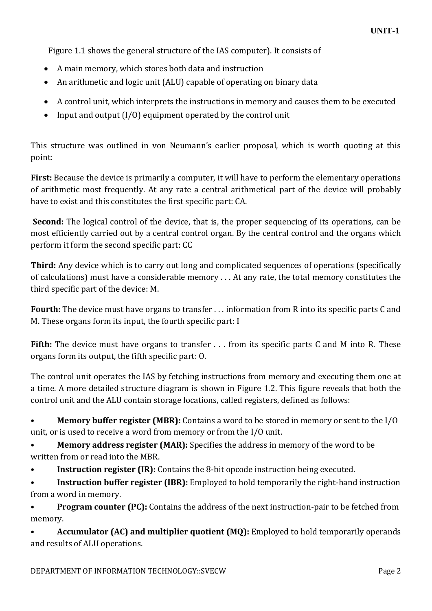Figure 1.1 shows the general structure of the IAS computer). It consists of

- A main memory, which stores both data and instruction
- An arithmetic and logic unit (ALU) capable of operating on binary data
- A control unit, which interprets the instructions in memory and causes them to be executed
- Input and output  $(I/O)$  equipment operated by the control unit

This structure was outlined in von Neumann's earlier proposal, which is worth quoting at this point:

**First:** Because the device is primarily a computer, it will have to perform the elementary operations of arithmetic most frequently. At any rate a central arithmetical part of the device will probably have to exist and this constitutes the first specific part: CA.

**Second:** The logical control of the device, that is, the proper sequencing of its operations, can be most efficiently carried out by a central control organ. By the central control and the organs which perform it form the second specific part: CC

**Third:** Any device which is to carry out long and complicated sequences of operations (specifically of calculations) must have a considerable memory . . . At any rate, the total memory constitutes the third specific part of the device: M.

**Fourth:** The device must have organs to transfer . . . information from R into its specific parts C and M. These organs form its input, the fourth specific part: I

**Fifth:** The device must have organs to transfer . . . from its specific parts C and M into R. These organs form its output, the fifth specific part: O.

The control unit operates the IAS by fetching instructions from memory and executing them one at a time. A more detailed structure diagram is shown in Figure 1.2. This figure reveals that both the control unit and the ALU contain storage locations, called registers, defined as follows:

• **Memory buffer register (MBR):** Contains a word to be stored in memory or sent to the I/O unit, or is used to receive a word from memory or from the I/O unit.

• **Memory address register (MAR):** Specifies the address in memory of the word to be written from or read into the MBR.

• **Instruction register (IR):** Contains the 8-bit opcode instruction being executed.

• **Instruction buffer register (IBR):** Employed to hold temporarily the right-hand instruction from a word in memory.

• **Program counter (PC):** Contains the address of the next instruction-pair to be fetched from memory.

• **Accumulator (AC) and multiplier quotient (MQ):** Employed to hold temporarily operands and results of ALU operations.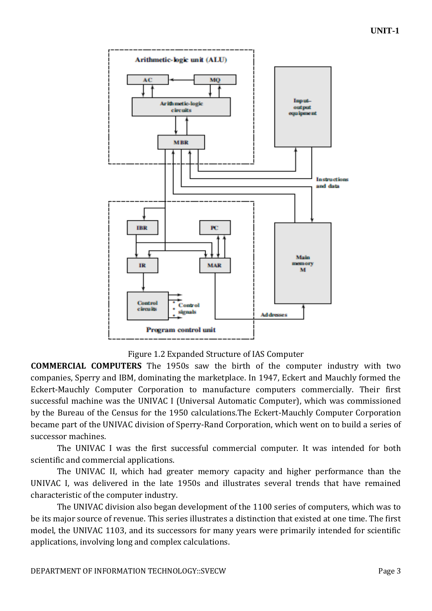

Figure 1.2 Expanded Structure of IAS Computer

**COMMERCIAL COMPUTERS** The 1950s saw the birth of the computer industry with two companies, Sperry and IBM, dominating the marketplace. In 1947, Eckert and Mauchly formed the Eckert-Mauchly Computer Corporation to manufacture computers commercially. Their first successful machine was the UNIVAC I (Universal Automatic Computer), which was commissioned by the Bureau of the Census for the 1950 calculations.The Eckert-Mauchly Computer Corporation became part of the UNIVAC division of Sperry-Rand Corporation, which went on to build a series of successor machines.

The UNIVAC I was the first successful commercial computer. It was intended for both scientific and commercial applications.

The UNIVAC II, which had greater memory capacity and higher performance than the UNIVAC I, was delivered in the late 1950s and illustrates several trends that have remained characteristic of the computer industry.

The UNIVAC division also began development of the 1100 series of computers, which was to be its major source of revenue. This series illustrates a distinction that existed at one time. The first model, the UNIVAC 1103, and its successors for many years were primarily intended for scientific applications, involving long and complex calculations.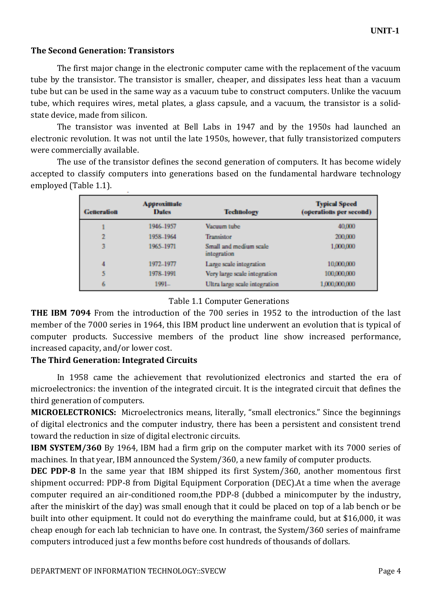#### **The Second Generation: Transistors**

The first major change in the electronic computer came with the replacement of the vacuum tube by the transistor. The transistor is smaller, cheaper, and dissipates less heat than a vacuum tube but can be used in the same way as a vacuum tube to construct computers. Unlike the vacuum tube, which requires wires, metal plates, a glass capsule, and a vacuum, the transistor is a solidstate device, made from silicon.

The transistor was invented at Bell Labs in 1947 and by the 1950s had launched an electronic revolution. It was not until the late 1950s, however, that fully transistorized computers were commercially available.

The use of the transistor defines the second generation of computers. It has become widely accepted to classify computers into generations based on the fundamental hardware technology employed (Table 1.1).

| <b>Generation</b> | Approximate<br><b>Dates</b> | <b>Technology</b>                            | <b>Typical Speed</b><br>(operations per second) |
|-------------------|-----------------------------|----------------------------------------------|-------------------------------------------------|
| 1                 | 1946-1957                   | Vacuum tube                                  | 40,000                                          |
| 2                 | 1958-1964                   | Transistor                                   | 200,000                                         |
| 3                 | 1965-1971                   | Small and medium scale<br><i>integration</i> | 1,000,000                                       |
| 4                 | 1972–1977                   | Large scale integration                      | 10,000,000                                      |
| 5                 | 1978-1991                   | Very large scale integration                 | 100,000,000                                     |
| 6                 | 1991.                       | Ultra large scale integration                | 1,000,000,000                                   |

#### Table 1.1 Computer Generations

**THE IBM 7094** From the introduction of the 700 series in 1952 to the introduction of the last member of the 7000 series in 1964, this IBM product line underwent an evolution that is typical of computer products. Successive members of the product line show increased performance, increased capacity, and/or lower cost.

#### **The Third Generation: Integrated Circuits**

In 1958 came the achievement that revolutionized electronics and started the era of microelectronics: the invention of the integrated circuit. It is the integrated circuit that defines the third generation of computers.

**MICROELECTRONICS:** Microelectronics means, literally, "small electronics." Since the beginnings of digital electronics and the computer industry, there has been a persistent and consistent trend toward the reduction in size of digital electronic circuits.

**IBM SYSTEM/360** By 1964, IBM had a firm grip on the computer market with its 7000 series of machines. In that year, IBM announced the System/360, a new family of computer products.

**DEC PDP-8** In the same year that IBM shipped its first System/360, another momentous first shipment occurred: PDP-8 from Digital Equipment Corporation (DEC).At a time when the average computer required an air-conditioned room,the PDP-8 (dubbed a minicomputer by the industry, after the miniskirt of the day) was small enough that it could be placed on top of a lab bench or be built into other equipment. It could not do everything the mainframe could, but at \$16,000, it was cheap enough for each lab technician to have one. In contrast, the System/360 series of mainframe computers introduced just a few months before cost hundreds of thousands of dollars.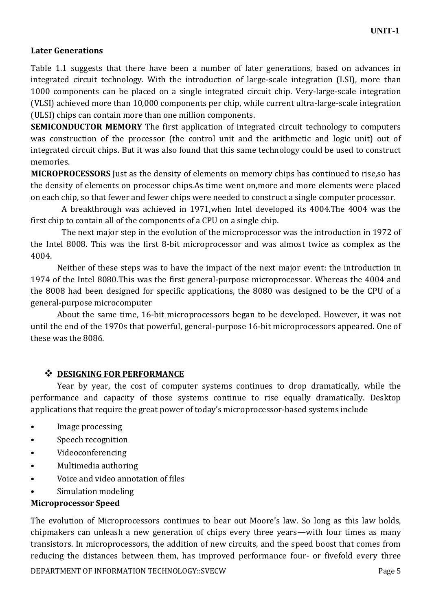## **Later Generations**

Table 1.1 suggests that there have been a number of later generations, based on advances in integrated circuit technology. With the introduction of large-scale integration (LSI), more than 1000 components can be placed on a single integrated circuit chip. Very-large-scale integration (VLSI) achieved more than 10,000 components per chip, while current ultra-large-scale integration (ULSI) chips can contain more than one million components.

**SEMICONDUCTOR MEMORY** The first application of integrated circuit technology to computers was construction of the processor (the control unit and the arithmetic and logic unit) out of integrated circuit chips. But it was also found that this same technology could be used to construct memories.

**MICROPROCESSORS** Just as the density of elements on memory chips has continued to rise,so has the density of elements on processor chips.As time went on,more and more elements were placed on each chip, so that fewer and fewer chips were needed to construct a single computer processor.

A breakthrough was achieved in 1971,when Intel developed its 4004.The 4004 was the first chip to contain all of the components of a CPU on a single chip.

The next major step in the evolution of the microprocessor was the introduction in 1972 of the Intel 8008. This was the first 8-bit microprocessor and was almost twice as complex as the 4004.

Neither of these steps was to have the impact of the next major event: the introduction in 1974 of the Intel 8080.This was the first general-purpose microprocessor. Whereas the 4004 and the 8008 had been designed for specific applications, the 8080 was designed to be the CPU of a general-purpose microcomputer

About the same time, 16-bit microprocessors began to be developed. However, it was not until the end of the 1970s that powerful, general-purpose 16-bit microprocessors appeared. One of these was the 8086.

## $\div$  **DESIGNING FOR PERFORMANCE**

Year by year, the cost of computer systems continues to drop dramatically, while the performance and capacity of those systems continue to rise equally dramatically. Desktop applications that require the great power of today's microprocessor-based systems include

- Image processing
- Speech recognition
- Videoconferencing
- Multimedia authoring
- Voice and video annotation of files
- Simulation modeling

## **Microprocessor Speed**

The evolution of Microprocessors continues to bear out Moore's law. So long as this law holds, chipmakers can unleash a new generation of chips every three years—with four times as many transistors. In microprocessors, the addition of new circuits, and the speed boost that comes from reducing the distances between them, has improved performance four- or fivefold every three

DEPARTMENT OF INFORMATION TECHNOLOGY::SVECW Page 5